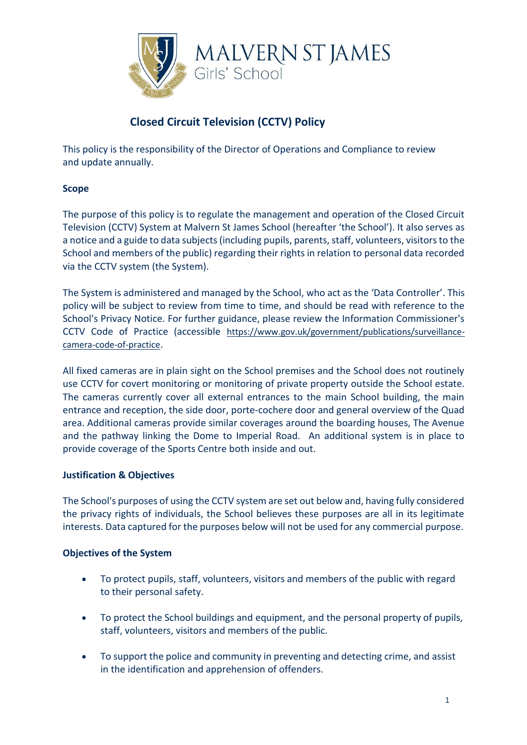

# **Closed Circuit Television (CCTV) Policy**

This policy is the responsibility of the Director of Operations and Compliance to review and update annually.

## **Scope**

The purpose of this policy is to regulate the management and operation of the Closed Circuit Television (CCTV) System at Malvern St James School (hereafter 'the School'). It also serves as a notice and a guide to data subjects (including pupils, parents, staff, volunteers, visitors to the School and members of the public) regarding their rights in relation to personal data recorded via the CCTV system (the System).

The System is administered and managed by the School, who act as the 'Data Controller'. This policy will be subject to review from time to time, and should be read with reference to the School's Privacy Notice. For further guidance, please review the Information Commissioner's CCTV Code of Practice (accessible [https://www.gov.uk/government/publications/surveillance](https://www.gov.uk/government/publications/surveillance-camera-code-of-practice)[camera-code-of-practice](https://www.gov.uk/government/publications/surveillance-camera-code-of-practice).

All fixed cameras are in plain sight on the School premises and the School does not routinely use CCTV for covert monitoring or monitoring of private property outside the School estate. The cameras currently cover all external entrances to the main School building, the main entrance and reception, the side door, porte-cochere door and general overview of the Quad area. Additional cameras provide similar coverages around the boarding houses, The Avenue and the pathway linking the Dome to Imperial Road. An additional system is in place to provide coverage of the Sports Centre both inside and out.

## **Justification & Objectives**

The School's purposes of using the CCTV system are set out below and, having fully considered the privacy rights of individuals, the School believes these purposes are all in its legitimate interests. Data captured for the purposes below will not be used for any commercial purpose.

## **Objectives of the System**

- To protect pupils, staff, volunteers, visitors and members of the public with regard to their personal safety.
- To protect the School buildings and equipment, and the personal property of pupils, staff, volunteers, visitors and members of the public.
- To support the police and community in preventing and detecting crime, and assist in the identification and apprehension of offenders.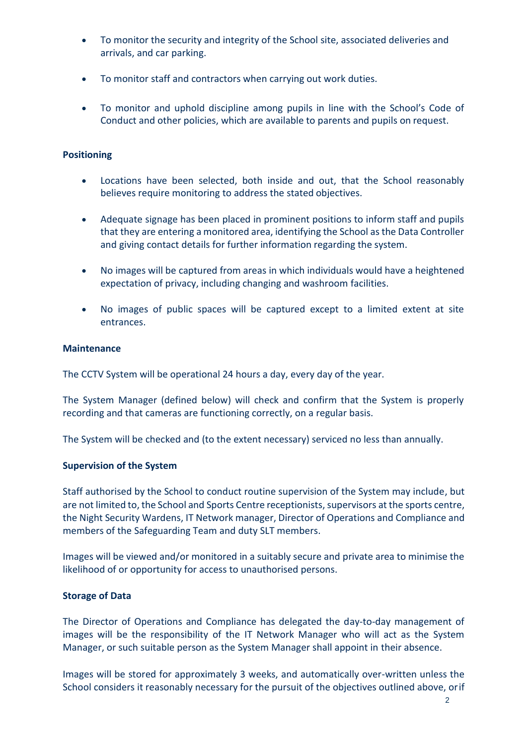- To monitor the security and integrity of the School site, associated deliveries and arrivals, and car parking.
- To monitor staff and contractors when carrying out work duties.
- To monitor and uphold discipline among pupils in line with the School's Code of Conduct and other policies, which are available to parents and pupils on request.

## **Positioning**

- Locations have been selected, both inside and out, that the School reasonably believes require monitoring to address the stated objectives.
- Adequate signage has been placed in prominent positions to inform staff and pupils that they are entering a monitored area, identifying the School as the Data Controller and giving contact details for further information regarding the system.
- No images will be captured from areas in which individuals would have a heightened expectation of privacy, including changing and washroom facilities.
- No images of public spaces will be captured except to a limited extent at site entrances.

### **Maintenance**

The CCTV System will be operational 24 hours a day, every day of the year.

The System Manager (defined below) will check and confirm that the System is properly recording and that cameras are functioning correctly, on a regular basis.

The System will be checked and (to the extent necessary) serviced no less than annually.

### **Supervision of the System**

Staff authorised by the School to conduct routine supervision of the System may include, but are not limited to, the School and Sports Centre receptionists, supervisors at the sports centre, the Night Security Wardens, IT Network manager, Director of Operations and Compliance and members of the Safeguarding Team and duty SLT members.

Images will be viewed and/or monitored in a suitably secure and private area to minimise the likelihood of or opportunity for access to unauthorised persons.

### **Storage of Data**

The Director of Operations and Compliance has delegated the day-to-day management of images will be the responsibility of the IT Network Manager who will act as the System Manager, or such suitable person as the System Manager shall appoint in their absence.

Images will be stored for approximately 3 weeks, and automatically over-written unless the School considers it reasonably necessary for the pursuit of the objectives outlined above, orif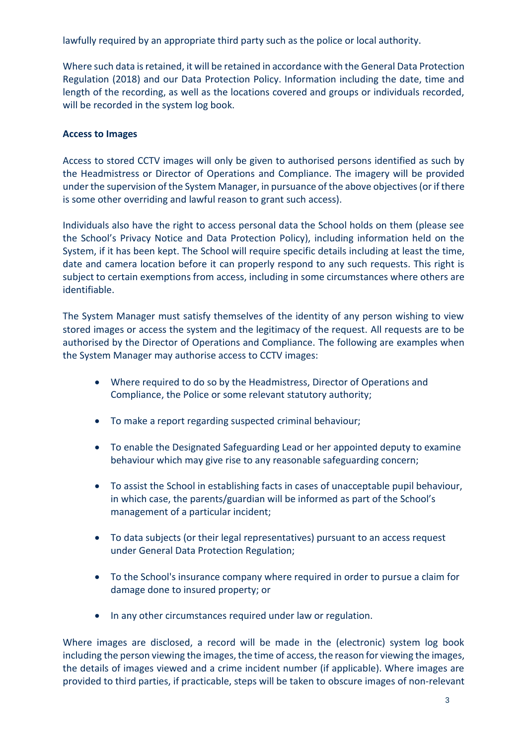lawfully required by an appropriate third party such as the police or local authority.

Where such data isretained, it will be retained in accordance with the General Data Protection Regulation (2018) and our Data Protection Policy. Information including the date, time and length of the recording, as well as the locations covered and groups or individuals recorded, will be recorded in the system log book.

## **Access to Images**

Access to stored CCTV images will only be given to authorised persons identified as such by the Headmistress or Director of Operations and Compliance. The imagery will be provided under the supervision of the System Manager, in pursuance of the above objectives (or if there is some other overriding and lawful reason to grant such access).

Individuals also have the right to access personal data the School holds on them (please see the School's Privacy Notice and Data Protection Policy), including information held on the System, if it has been kept. The School will require specific details including at least the time, date and camera location before it can properly respond to any such requests. This right is subject to certain exemptions from access, including in some circumstances where others are identifiable.

The System Manager must satisfy themselves of the identity of any person wishing to view stored images or access the system and the legitimacy of the request. All requests are to be authorised by the Director of Operations and Compliance. The following are examples when the System Manager may authorise access to CCTV images:

- Where required to do so by the Headmistress, Director of Operations and Compliance, the Police or some relevant statutory authority;
- To make a report regarding suspected criminal behaviour;
- To enable the Designated Safeguarding Lead or her appointed deputy to examine behaviour which may give rise to any reasonable safeguarding concern;
- To assist the School in establishing facts in cases of unacceptable pupil behaviour, in which case, the parents/guardian will be informed as part of the School's management of a particular incident;
- To data subjects (or their legal representatives) pursuant to an access request under General Data Protection Regulation;
- To the School's insurance company where required in order to pursue a claim for damage done to insured property; or
- In any other circumstances required under law or regulation.

Where images are disclosed, a record will be made in the (electronic) system log book including the person viewing the images, the time of access, the reason for viewing the images, the details of images viewed and a crime incident number (if applicable). Where images are provided to third parties, if practicable, steps will be taken to obscure images of non-relevant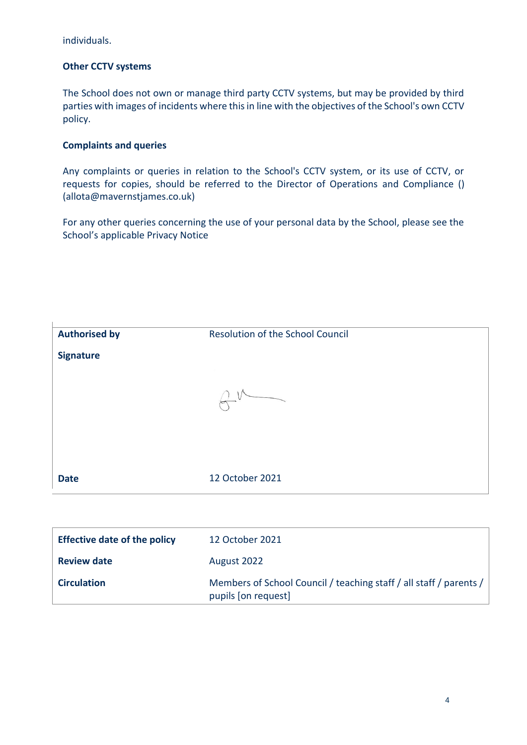individuals.

## **Other CCTV systems**

The School does not own or manage third party CCTV systems, but may be provided by third parties with images of incidents where this in line with the objectives of the School's own CCTV policy.

## **Complaints and queries**

Any complaints or queries in relation to the School's CCTV system, or its use of CCTV, or requests for copies, should be referred to the Director of Operations and Compliance () (allota@mavernstjames.co.uk)

For any other queries concerning the use of your personal data by the School, please see the School's applicable Privacy Notice

| <b>Authorised by</b> | <b>Resolution of the School Council</b> |  |
|----------------------|-----------------------------------------|--|
| <b>Signature</b>     |                                         |  |
|                      |                                         |  |
|                      |                                         |  |
|                      |                                         |  |
|                      |                                         |  |
|                      |                                         |  |
| <b>Date</b>          | 12 October 2021                         |  |

| <b>Effective date of the policy</b> | 12 October 2021                                                                           |
|-------------------------------------|-------------------------------------------------------------------------------------------|
| <b>Review date</b>                  | August 2022                                                                               |
| <b>Circulation</b>                  | Members of School Council / teaching staff / all staff / parents /<br>pupils [on request] |